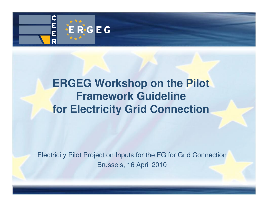

## **ERGEG Workshop on the Pilot Framework Guideline for Electricity Grid Connection**

Electricity Pilot Project on Inputs for the FG for Grid ConnectionBrussels, 16 April 2010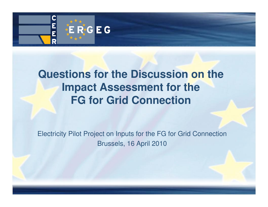

## **Questions for the Discussion on the Impact Assessment for the FG for Grid Connection**

Electricity Pilot Project on Inputs for the FG for Grid ConnectionBrussels, 16 April 2010